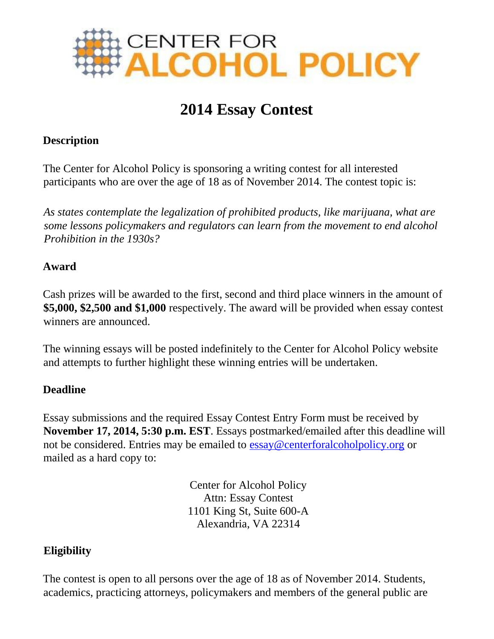

# **2014 Essay Contest**

### **Description**

The Center for Alcohol Policy is sponsoring a writing contest for all interested participants who are over the age of 18 as of November 2014. The contest topic is:

*As states contemplate the legalization of prohibited products, like marijuana, what are some lessons policymakers and regulators can learn from the movement to end alcohol Prohibition in the 1930s?*

#### **Award**

Cash prizes will be awarded to the first, second and third place winners in the amount of **\$5,000, \$2,500 and \$1,000** respectively. The award will be provided when essay contest winners are announced.

The winning essays will be posted indefinitely to the Center for Alcohol Policy website and attempts to further highlight these winning entries will be undertaken.

### **Deadline**

Essay submissions and the required Essay Contest Entry Form must be received by **November 17, 2014, 5:30 p.m. EST**. Essays postmarked/emailed after this deadline will not be considered. Entries may be emailed to essay@centerforalcoholpolicy.org or mailed as a hard copy to:

> Center for Alcohol Policy Attn: Essay Contest 1101 King St, Suite 600-A Alexandria, VA 22314

#### **Eligibility**

The contest is open to all persons over the age of 18 as of November 2014. Students, academics, practicing attorneys, policymakers and members of the general public are